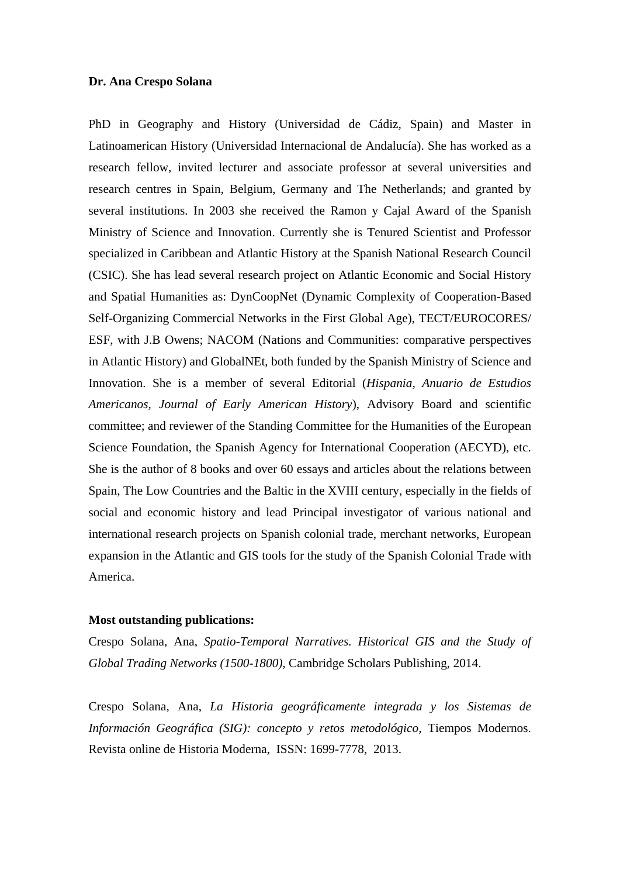## **Dr. Ana Crespo Solana**

PhD in Geography and History (Universidad de Cádiz, Spain) and Master in Latinoamerican History (Universidad Internacional de Andalucía). She has worked as a research fellow, invited lecturer and associate professor at several universities and research centres in Spain, Belgium, Germany and The Netherlands; and granted by several institutions. In 2003 she received the Ramon y Cajal Award of the Spanish Ministry of Science and Innovation. Currently she is Tenured Scientist and Professor specialized in Caribbean and Atlantic History at the Spanish National Research Council (CSIC). She has lead several research project on Atlantic Economic and Social History and Spatial Humanities as: DynCoopNet (Dynamic Complexity of Cooperation-Based Self-Organizing Commercial Networks in the First Global Age), TECT/EUROCORES/ ESF, with J.B Owens; NACOM (Nations and Communities: comparative perspectives in Atlantic History) and GlobalNEt, both funded by the Spanish Ministry of Science and Innovation. She is a member of several Editorial (*Hispania, Anuario de Estudios Americanos, Journal of Early American History*), Advisory Board and scientific committee; and reviewer of the Standing Committee for the Humanities of the European Science Foundation, the Spanish Agency for International Cooperation (AECYD), etc. She is the author of 8 books and over 60 essays and articles about the relations between Spain, The Low Countries and the Baltic in the XVIII century, especially in the fields of social and economic history and lead Principal investigator of various national and international research projects on Spanish colonial trade, merchant networks, European expansion in the Atlantic and GIS tools for the study of the Spanish Colonial Trade with America.

## **Most outstanding publications:**

Crespo Solana, Ana, *Spatio-Temporal Narratives. Historical GIS and the Study of Global Trading Networks (1500-1800)*, Cambridge Scholars Publishing, 2014.

Crespo Solana, Ana, *La Historia geográficamente integrada y los Sistemas de Información Geográfica (SIG): concepto y retos metodológico,* Tiempos Modernos. Revista online de Historia Moderna, ISSN: 1699-7778, 2013.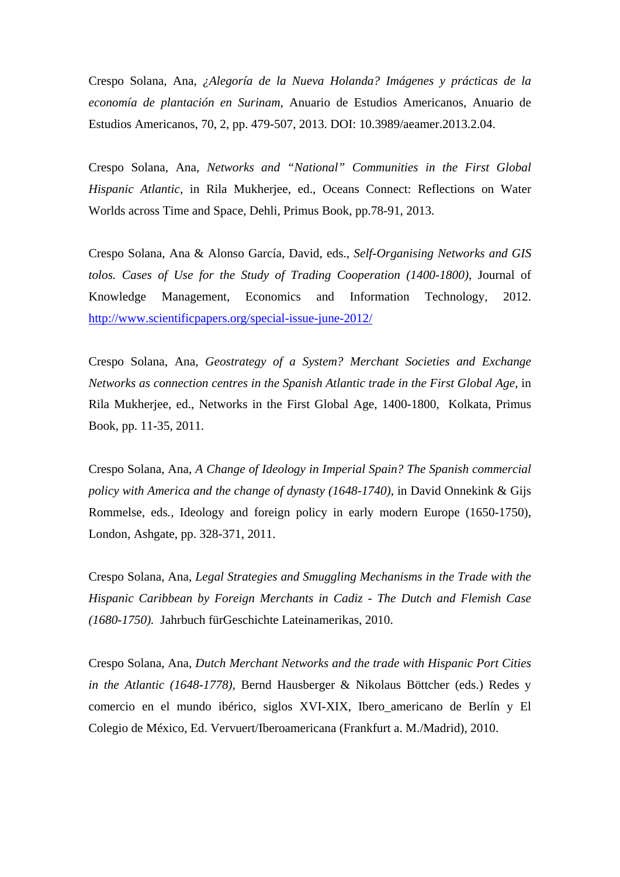Crespo Solana, Ana, *¿Alegoría de la Nueva Holanda? Imágenes y prácticas de la economía de plantación en Surinam*, Anuario de Estudios Americanos, Anuario de Estudios Americanos, 70, 2, pp. 479-507, 2013. DOI: 10.3989/aeamer.2013.2.04.

Crespo Solana, Ana, *Networks and "National" Communities in the First Global Hispanic Atlantic,* in Rila Mukherjee, ed., Oceans Connect: Reflections on Water Worlds across Time and Space, Dehli, Primus Book, pp.78-91, 2013.

Crespo Solana, Ana & Alonso García, David, eds., *Self-Organising Networks and GIS tolos. Cases of Use for the Study of Trading Cooperation (1400-1800)*, Journal of Knowledge Management, Economics and Information Technology, 2012. http://www.scientificpapers.org/special-issue-june-2012/

Crespo Solana, Ana, *Geostrategy of a System? Merchant Societies and Exchange Networks as connection centres in the Spanish Atlantic trade in the First Global Age,* in Rila Mukherjee, ed., Networks in the First Global Age, 1400-1800, Kolkata, Primus Book, pp. 11-35, 2011.

Crespo Solana, Ana, *A Change of Ideology in Imperial Spain? The Spanish commercial policy with America and the change of dynasty (1648-1740)*, in David Onnekink & Gijs Rommelse, eds*.,* Ideology and foreign policy in early modern Europe (1650-1750), London, Ashgate, pp. 328-371, 2011.

Crespo Solana, Ana, *Legal Strategies and Smuggling Mechanisms in the Trade with the Hispanic Caribbean by Foreign Merchants in Cadiz - The Dutch and Flemish Case (1680-1750).* Jahrbuch fürGeschichte Lateinamerikas, 2010.

Crespo Solana, Ana, *Dutch Merchant Networks and the trade with Hispanic Port Cities in the Atlantic (1648-1778),* Bernd Hausberger & Nikolaus Böttcher (eds.) Redes y comercio en el mundo ibérico, siglos XVI-XIX, Ibero\_americano de Berlín y El Colegio de México, Ed. Vervuert/Iberoamericana (Frankfurt a. M./Madrid), 2010.